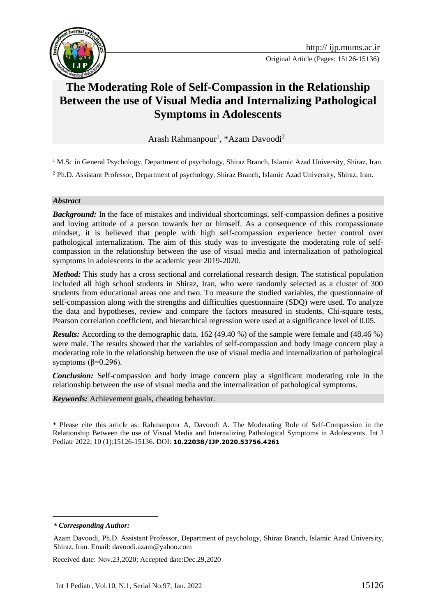

# **The Moderating Role of Self-Compassion in the Relationship Between the use of Visual Media and Internalizing Pathological Symptoms in Adolescents**

Arash Rahmanpour<sup>1</sup>, \*Azam Davoodi<sup>2</sup>

<sup>1</sup> M.Sc in General Psychology, Department of psychology, Shiraz Branch, Islamic Azad University, Shiraz, Iran.

<sup>2</sup> Ph.D. Assistant Professor, Department of psychology, Shiraz Branch, Islamic Azad University, Shiraz, Iran.

#### *Abstract*

*Background:* In the face of mistakes and individual shortcomings, self-compassion defines a positive and loving attitude of a person towards her or himself. As a consequence of this compassionate mindset, it is believed that people with high self-compassion experience better control over pathological internalization. The aim of this study was to investigate the moderating role of selfcompassion in the relationship between the use of visual media and internalization of pathological symptoms in adolescents in the academic year 2019-2020.

*Method:* This study has a cross sectional and correlational research design. The statistical population included all high school students in Shiraz, Iran, who were randomly selected as a cluster of 300 students from educational areas one and two. To measure the studied variables, the questionnaire of self-compassion along with the strengths and difficulties questionnaire (SDQ) were used. To analyze the data and hypotheses, review and compare the factors measured in students, Chi-square tests, Pearson correlation coefficient, and hierarchical regression were used at a significance level of 0.05.

*Results:* According to the demographic data, 162 (49.40 %) of the sample were female and (48.46 %) were male. The results showed that the variables of self-compassion and body image concern play a moderating role in the relationship between the use of visual media and internalization of pathological symptoms ( $β=0.296$ ).

*Conclusion:* Self-compassion and body image concern play a significant moderating role in the relationship between the use of visual media and the internalization of pathological symptoms.

*Keywords:* Achievement goals, cheating behavior.

\* Please cite this article as: Rahmanpour A, Davoodi A. The Moderating Role of Self-Compassion in the Relationship Between the use of Visual Media and Internalizing Pathological Symptoms in Adolescents. Int J Pediatr 2022; 10 (1):15126-15136. DOI: **10.22038/IJP.2020.53756.4261**

Received date: Nov.23,2020; Accepted date:Dec.29,2020

**<sup>\*</sup>** *Corresponding Author:*

Azam Davoodi, Ph.D. Assistant Professor, Department of psychology, Shiraz Branch, Islamic Azad University, Shiraz, Iran. Email: davoodi.azam@yahoo.com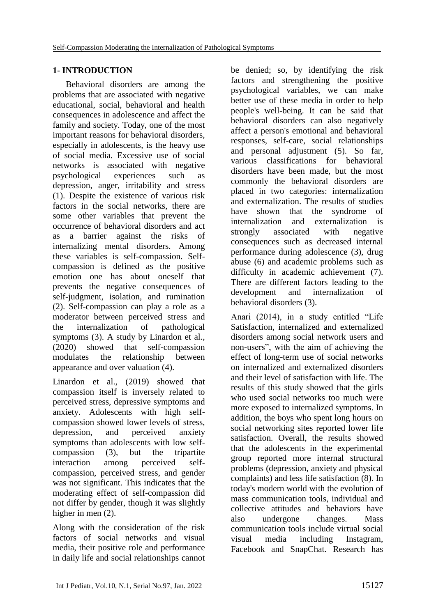# **1- INTRODUCTION**

Behavioral disorders are among the problems that are associated with negative educational, social, behavioral and health consequences in adolescence and affect the family and society. Today, one of the most important reasons for behavioral disorders, especially in adolescents, is the heavy use of social media. Excessive use of social networks is associated with negative psychological experiences such as depression, anger, irritability and stress (1). Despite the existence of various risk factors in the social networks, there are some other variables that prevent the occurrence of behavioral disorders and act as a barrier against the risks of internalizing mental disorders. Among these variables is self-compassion. Selfcompassion is defined as the positive emotion one has about oneself that prevents the negative consequences of self-judgment, isolation, and rumination (2). Self-compassion can play a role as a moderator between perceived stress and the internalization of pathological symptoms (3). A study by Linardon et al., (2020) showed that self-compassion modulates the relationship between appearance and over valuation  $(4)$ .

Linardon et al., (2019) showed that compassion itself is inversely related to perceived stress, depressive symptoms and anxiety. Adolescents with high selfcompassion showed lower levels of stress, depression, and perceived anxiety symptoms than adolescents with low selfcompassion (3), but the tripartite interaction among perceived selfcompassion, perceived stress, and gender was not significant. This indicates that the moderating effect of self-compassion did not differ by gender, though it was slightly higher in men  $(2)$ .

Along with the consideration of the risk factors of social networks and visual media, their positive role and performance in daily life and social relationships cannot

be denied; so, by identifying the risk factors and strengthening the positive psychological variables, we can make better use of these media in order to help people's well-being. It can be said that behavioral disorders can also negatively affect a person's emotional and behavioral responses, self-care, social relationships and personal adjustment (5). So far, various classifications for behavioral disorders have been made, but the most commonly the behavioral disorders are placed in two categories: internalization and externalization. The results of studies have shown that the syndrome of internalization and externalization is strongly associated with negative consequences such as decreased internal performance during adolescence (3), drug abuse (6) and academic problems such as difficulty in academic achievement (7). There are different factors leading to the development and internalization of behavioral disorders (3).

Anari (2014), in a study entitled "Life Satisfaction, internalized and externalized disorders among social network users and non-users", with the aim of achieving the effect of long-term use of social networks on internalized and externalized disorders and their level of satisfaction with life. The results of this study showed that the girls who used social networks too much were more exposed to internalized symptoms. In addition, the boys who spent long hours on social networking sites reported lower life satisfaction. Overall, the results showed that the adolescents in the experimental group reported more internal structural problems (depression, anxiety and physical complaints) and less life satisfaction (8). In today's modern world with the evolution of mass communication tools, individual and collective attitudes and behaviors have also undergone changes. Mass communication tools include virtual social visual media including Instagram, Facebook and SnapChat. Research has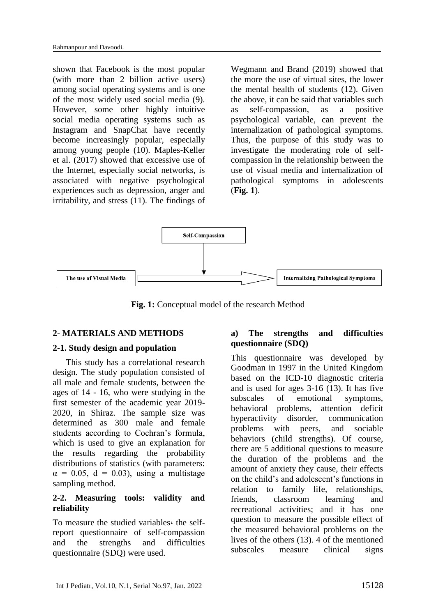shown that Facebook is the most popular (with more than 2 billion active users) among social operating systems and is one of the most widely used social media (9). However, some other highly intuitive social media operating systems such as Instagram and SnapChat have recently become increasingly popular, especially among young people (10). Maples-Keller et al. (2017) showed that excessive use of the Internet, especially social networks, is associated with negative psychological experiences such as depression, anger and irritability, and stress (11). The findings of

Wegmann and Brand (2019) showed that the more the use of virtual sites, the lower the mental health of students (12). Given the above, it can be said that variables such as self-compassion, as a positive psychological variable, can prevent the internalization of pathological symptoms. Thus, the purpose of this study was to investigate the moderating role of selfcompassion in the relationship between the use of visual media and internalization of pathological symptoms in adolescents (**Fig. 1**).



**Fig. 1:** Conceptual model of the research Method

### **2- MATERIALS AND METHODS**

#### **2-1. Study design and population**

This study has a correlational research design. The study population consisted of all male and female students, between the ages of 14 - 16, who were studying in the first semester of the academic year 2019- 2020, in Shiraz. The sample size was determined as 300 male and female students according to Cochran's formula, which is used to give an explanation for the results regarding the probability distributions of statistics (with parameters:  $\alpha = 0.05$ ,  $d = 0.03$ ), using a multistage sampling method.

### **2-2. Measuring tools: validity and reliability**

To measure the studied variables، the selfreport questionnaire of self-compassion and [the strengths and difficulties](https://link.springer.com/article/10.1007/s00787-003-0298-2)  [questionnaire \(SDQ\)](https://link.springer.com/article/10.1007/s00787-003-0298-2) were used.

### **a) [The strengths and difficulties](https://link.springer.com/article/10.1007/s00787-003-0298-2)  [questionnaire \(SDQ\)](https://link.springer.com/article/10.1007/s00787-003-0298-2)**

This questionnaire was developed by Goodman in 1997 in the United Kingdom based on the ICD-10 diagnostic criteria and is used for ages 3-16 (13). It has five subscales of emotional symptoms, behavioral problems, attention deficit hyperactivity disorder, communication problems with peers, and sociable behaviors (child strengths). Of course, there are 5 additional questions to measure the duration of the problems and the amount of anxiety they cause, their effects on the child's and adolescent's functions in relation to family life, relationships, friends, classroom learning and recreational activities; and it has one question to measure the possible effect of the measured behavioral problems on the lives of the others (13). 4 of the mentioned subscales measure clinical signs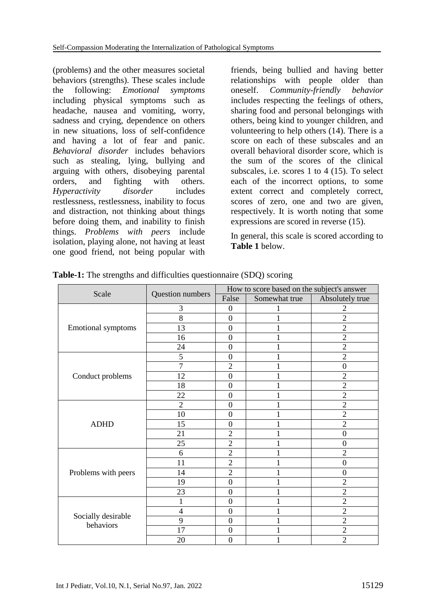(problems) and the other measures societal behaviors (strengths). These scales include the following: *Emotional symptoms* including physical symptoms such as headache, nausea and vomiting, worry, sadness and crying, dependence on others in new situations, loss of self-confidence and having a lot of fear and panic. *Behavioral disorder* includes behaviors such as stealing, lying, bullying and arguing with others, disobeying parental orders, and fighting with others. *Hyperactivity disorder* includes restlessness, restlessness, inability to focus and distraction, not thinking about things before doing them, and inability to finish things. *Problems with peers* include isolation, playing alone, not having at least one good friend, not being popular with friends, being bullied and having better relationships with people older than oneself. *Community-friendly behavior* includes respecting the feelings of others, sharing food and personal belongings with others, being kind to younger children, and volunteering to help others (14). There is a score on each of these subscales and an overall behavioral disorder score, which is the sum of the scores of the clinical subscales, i.e. scores 1 to 4 (15). To select each of the incorrect options, to some extent correct and completely correct, scores of zero, one and two are given, respectively. It is worth noting that some expressions are scored in reverse (15).

In general, this scale is scored according to **Table 1** below.

| Scale                           |                  | How to score based on the subject's answer |               |                 |  |  |
|---------------------------------|------------------|--------------------------------------------|---------------|-----------------|--|--|
|                                 | Question numbers | False                                      | Somewhat true | Absolutely true |  |  |
|                                 | 3                | $\boldsymbol{0}$                           |               | $\overline{2}$  |  |  |
| <b>Emotional symptoms</b>       | 8                | $\mathbf{0}$                               |               | $\overline{2}$  |  |  |
|                                 | 13               | $\boldsymbol{0}$                           |               | $\overline{2}$  |  |  |
|                                 | 16               | $\boldsymbol{0}$                           |               | $\overline{2}$  |  |  |
|                                 | 24               | $\boldsymbol{0}$                           |               | $\overline{2}$  |  |  |
|                                 | 5                | $\boldsymbol{0}$                           |               | $\overline{2}$  |  |  |
|                                 | $\overline{7}$   | $\overline{c}$                             |               | $\overline{0}$  |  |  |
| Conduct problems                | 12               | $\boldsymbol{0}$                           |               | $\overline{2}$  |  |  |
|                                 | 18               | $\overline{0}$                             | 1             | $\overline{2}$  |  |  |
|                                 | 22               | $\boldsymbol{0}$                           |               | $\overline{2}$  |  |  |
|                                 | $\overline{2}$   | $\mathbf{0}$                               |               | $\overline{2}$  |  |  |
|                                 | 10               | $\boldsymbol{0}$                           |               | $\overline{2}$  |  |  |
| <b>ADHD</b>                     | 15               | $\mathbf{0}$                               | $\mathbf{1}$  | $\overline{2}$  |  |  |
|                                 | 21               | $\overline{2}$                             |               | $\overline{0}$  |  |  |
|                                 | 25               | $\overline{c}$                             |               | $\overline{0}$  |  |  |
|                                 | 6                | $\overline{2}$                             |               | $\overline{2}$  |  |  |
|                                 | 11               | $\overline{2}$                             |               | $\overline{0}$  |  |  |
| Problems with peers             | 14               | $\overline{c}$                             | 1             | $\overline{0}$  |  |  |
|                                 | 19               | $\boldsymbol{0}$                           |               | $\overline{2}$  |  |  |
|                                 | 23               | $\mathbf{0}$                               |               | $\overline{2}$  |  |  |
| Socially desirable<br>behaviors | 1                | $\mathbf{0}$                               |               | $\overline{2}$  |  |  |
|                                 | $\overline{4}$   | $\mathbf{0}$                               |               | $\overline{2}$  |  |  |
|                                 | 9                | $\boldsymbol{0}$                           |               | $\overline{2}$  |  |  |
|                                 | 17               | $\boldsymbol{0}$                           |               | $\overline{2}$  |  |  |
|                                 | 20               | $\boldsymbol{0}$                           |               | $\overline{2}$  |  |  |

**Table-1:** [The strengths and difficulties questionnaire \(SDQ\)](https://link.springer.com/article/10.1007/s00787-003-0298-2) scoring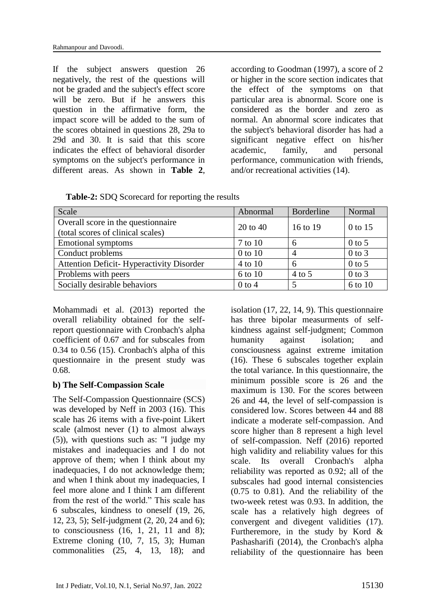If the subject answers question 26 negatively, the rest of the questions will not be graded and the subject's effect score will be zero. But if he answers this question in the affirmative form, the impact score will be added to the sum of the scores obtained in questions 28, 29a to 29d and 30. It is said that this score indicates the effect of behavioral disorder symptoms on the subject's performance in different areas. As shown in **Table 2**, according to Goodman (1997), a score of 2 or higher in the score section indicates that the effect of the symptoms on that particular area is abnormal. Score one is considered as the border and zero as normal. An abnormal score indicates that the subject's behavioral disorder has had a significant negative effect on his/her academic, family, and personal performance, communication with friends, and/or recreational activities (14).

**Table-2:** SDQ Scorecard for reporting the results

| Scale                                           | Abnormal     | <b>Borderline</b> | Normal     |  |
|-------------------------------------------------|--------------|-------------------|------------|--|
| Overall score in the questionnaire              | $20$ to $40$ | 16 to 19          | 0 to 15    |  |
| (total scores of clinical scales)               |              |                   |            |  |
| <b>Emotional symptoms</b>                       | 7 to 10      | 6                 | $0$ to 5   |  |
| Conduct problems                                | $0$ to $10$  | 4                 | $0$ to $3$ |  |
| <b>Attention Deficit-Hyperactivity Disorder</b> | 4 to 10      | 6                 | $0$ to 5   |  |
| Problems with peers                             | 6 to 10      | $4$ to 5          | $0$ to $3$ |  |
| Socially desirable behaviors                    | $0$ to 4     |                   | 6 to 10    |  |

Mohammadi et al. (2013) reported the overall reliability obtained for the selfreport questionnaire with Cronbach's alpha coefficient of 0.67 and for subscales from 0.34 to 0.56 (15). Cronbach's alpha of this questionnaire in the present study was 0.68.

### **b) The Self-Compassion Scale**

The Self-Compassion Questionnaire (SCS) was developed by Neff in 2003 (16). This scale has 26 items with a five-point Likert scale (almost never (1) to almost always (5)), with questions such as: "I judge my mistakes and inadequacies and I do not approve of them; when I think about my inadequacies, I do not acknowledge them; and when I think about my inadequacies, I feel more alone and I think I am different from the rest of the world." This scale has 6 subscales, kindness to oneself (19, 26, 12, 23, 5); Self-judgment (2, 20, 24 and 6); to consciousness (16, 1, 21, 11 and 8); Extreme cloning (10, 7, 15, 3); Human commonalities (25, 4, 13, 18); and

isolation (17, 22, 14, 9). This questionnaire has three bipolar measurments of selfkindness against self-judgment; Common humanity against isolation; and consciousness against extreme imitation (16). These 6 subscales together explain the total variance. In this questionnaire, the minimum possible score is 26 and the maximum is 130. For the scores between 26 and 44, the level of self-compassion is considered low. Scores between 44 and 88 indicate a moderate self-compassion. And score higher than 8 represent a high level of self-compassion. Neff (2016) reported high validity and reliability values for this scale. Its overall Cronbach's alpha reliability was reported as 0.92; all of the subscales had good internal consistencies (0.75 to 0.81). And the reliability of the two-week retest was 0.93. In addition, the scale has a relatively high degrees of convergent and divegent validities (17). Furtheremore, in the study by Kord  $\&$ Pashasharifi (2014), the Cronbach's alpha reliability of the questionnaire has been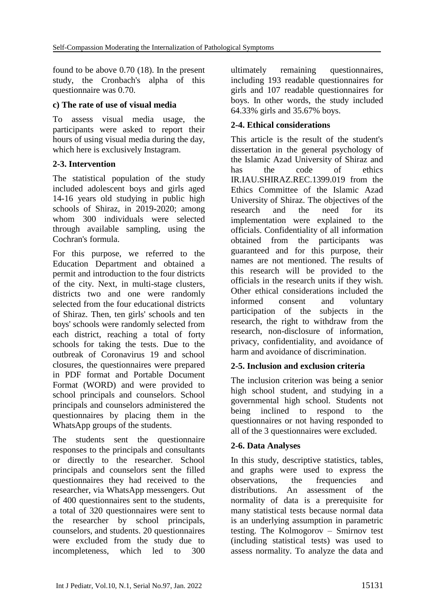found to be above 0.70 (18). In the present study, the Cronbach's alpha of this questionnaire was 0.70.

### **c) The rate of use of visual media**

To assess visual media usage, the participants were asked to report their hours of using visual media during the day, which here is exclusively Instagram.

# **2-3. Intervention**

The statistical population of the study included adolescent boys and girls aged 14-16 years old studying in public high schools of Shiraz, in 2019-2020; among whom 300 individuals were selected through available sampling, using the Cochran's formula.

For this purpose, we referred to the Education Department and obtained a permit and introduction to the four districts of the city. Next, in multi-stage clusters, districts two and one were randomly selected from the four educational districts of Shiraz. Then, ten girls' schools and ten boys' schools were randomly selected from each district, reaching a total of forty schools for taking the tests. Due to the outbreak of Coronavirus 19 and school closures, the questionnaires were prepared in PDF format and Portable Document Format (WORD) and were provided to school principals and counselors. School principals and counselors administered the questionnaires by placing them in the WhatsApp groups of the students.

The students sent the questionnaire responses to the principals and consultants or directly to the researcher. School principals and counselors sent the filled questionnaires they had received to the researcher, via WhatsApp messengers. Out of 400 questionnaires sent to the students, a total of 320 questionnaires were sent to the researcher by school principals, counselors, and students. 20 questionnaires were excluded from the study due to incompleteness, which led to 300

ultimately remaining questionnaires, including 193 readable questionnaires for girls and 107 readable questionnaires for boys. In other words, the study included 64.33% girls and 35.67% boys.

### **2-4. Ethical considerations**

This article is the result of the student's dissertation in the general psychology of the Islamic Azad University of Shiraz and has the code of ethics IR.IAU.SHIRAZ.REC.1399.019 from the Ethics Committee of the Islamic Azad University of Shiraz. The objectives of the research and the need for its implementation were explained to the officials. Confidentiality of all information obtained from the participants was guaranteed and for this purpose, their names are not mentioned. The results of this research will be provided to the officials in the research units if they wish. Other ethical considerations included the informed consent and voluntary participation of the subjects in the research, the right to withdraw from the research, non-disclosure of information, privacy, confidentiality, and avoidance of harm and avoidance of discrimination.

### **2-5. Inclusion and exclusion criteria**

The inclusion criterion was being a senior high school student, and studying in a governmental high school. Students not being inclined to respond to the questionnaires or not having responded to all of the 3 questionnaires were excluded.

### **2-6. Data Analyses**

In this study, descriptive statistics, tables, and graphs were used to express the observations, the frequencies and distributions. An assessment of the normality of data is a prerequisite for many statistical tests because normal data is an underlying assumption in parametric testing. The Kolmogorov – Smirnov test (including statistical tests) was used to assess normality. To analyze the data and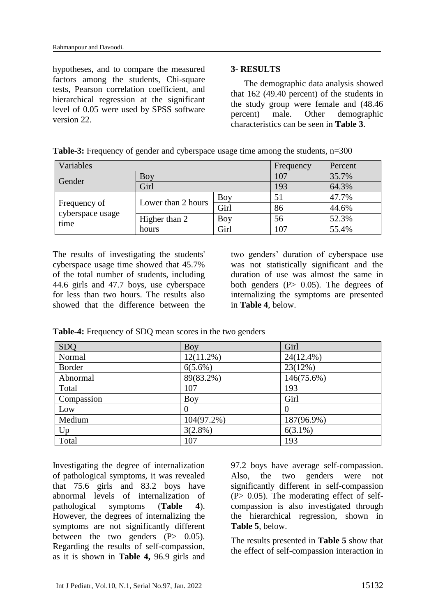hypotheses, and to compare the measured factors among the students, Chi-square tests, Pearson correlation coefficient, and hierarchical regression at the significant level of 0.05 were used by SPSS software version 22.

#### **3- RESULTS**

The demographic data analysis showed that 162 (49.40 percent) of the students in the study group were female and (48.46 percent) male. Other demographic characteristics can be seen in **Table 3**.

| Variables                | Frequency          | Percent |     |       |
|--------------------------|--------------------|---------|-----|-------|
| Gender                   | Boy                |         | 107 | 35.7% |
|                          | Girl               |         | 193 | 64.3% |
| Frequency of             | Lower than 2 hours | Boy     | 51  | 47.7% |
|                          |                    | Girl    | 86  | 44.6% |
| cyberspace usage<br>time | Higher than 2      | Boy     | 56  | 52.3% |
|                          | hours              | Girl    | 107 | 55.4% |

**Table-3:** Frequency of gender and cyberspace usage time among the students,  $n=300$ 

The results of investigating the students' cyberspace usage time showed that 45.7% of the total number of students, including 44.6 girls and 47.7 boys, use cyberspace for less than two hours. The results also showed that the difference between the two genders' duration of cyberspace use was not statistically significant and the duration of use was almost the same in both genders  $(P> 0.05)$ . The degrees of internalizing the symptoms are presented in **Table 4**, below.

| <b>SDQ</b> | Boy           | Girl         |
|------------|---------------|--------------|
| Normal     | $12(11.2\%)$  | $24(12.4\%)$ |
| Border     | $6(5.6\%)$    | 23(12%)      |
| Abnormal   | 89(83.2%)     | 146(75.6%)   |
| Total      | 107           | 193          |
| Compassion | Boy           | Girl         |
| Low        | $\theta$      | $\theta$     |
| Medium     | $104(97.2\%)$ | 187(96.9%)   |
| Up         | $3(2.8\%)$    | $6(3.1\%)$   |
| Total      | 107           | 193          |

**Table-4:** Frequency of SDQ mean scores in the two genders

Investigating the degree of internalization of pathological symptoms, it was revealed that 75.6 girls and 83.2 boys have abnormal levels of internalization of pathological symptoms (**Table 4**). However, the degrees of internalizing the symptoms are not significantly different between the two genders  $(P> 0.05)$ . Regarding the results of self-compassion, as it is shown in **Table 4,** 96.9 girls and 97.2 boys have average self-compassion. Also, the two genders were not significantly different in self-compassion  $(P> 0.05)$ . The moderating effect of selfcompassion is also investigated through the hierarchical regression, shown in **Table 5**, below.

The results presented in **Table 5** show that the effect of self-compassion interaction in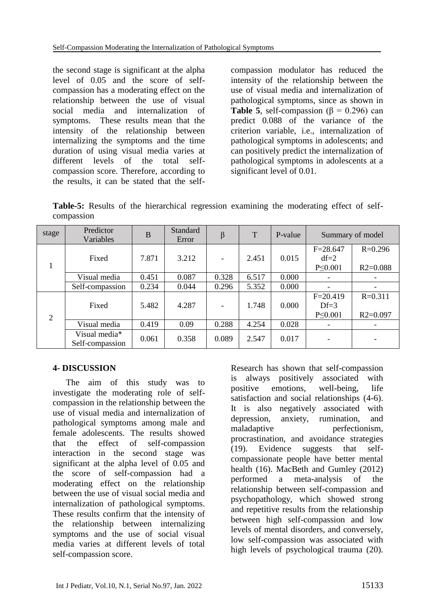the second stage is significant at the alpha level of 0.05 and the score of selfcompassion has a moderating effect on the relationship between the use of visual social media and internalization of symptoms. These results mean that the intensity of the relationship between internalizing the symptoms and the time duration of using visual media varies at different levels of the total selfcompassion score. Therefore, according to the results, it can be stated that the self-

compassion modulator has reduced the intensity of the relationship between the use of visual media and internalization of pathological symptoms, since as shown in **Table 5.** self-compassion  $(8 = 0.296)$  can predict 0.088 of the variance of the criterion variable, i.e., internalization of pathological symptoms in adolescents; and can positively predict the internalization of pathological symptoms in adolescents at a significant level of 0.01.

**Table-5:** Results of the hierarchical regression examining the moderating effect of selfcompassion

| stage                       | Predictor<br>Variables           | B     | Standard<br>Error | β                        | T     | P-value | Summary of model        |              |
|-----------------------------|----------------------------------|-------|-------------------|--------------------------|-------|---------|-------------------------|--------------|
|                             |                                  |       |                   |                          |       |         | $F = 28.647$            | $R=0.296$    |
|                             | Fixed                            | 7.871 | 3.212             | $\overline{\phantom{a}}$ | 2.451 | 0.015   | $df=2$<br>$P \le 0.001$ | $R2 = 0.088$ |
|                             | Visual media                     | 0.451 | 0.087             | 0.328                    | 6.517 | 0.000   |                         |              |
|                             | Self-compassion                  | 0.234 | 0.044             | 0.296                    | 5.352 | 0.000   |                         |              |
| $\mathcal{D}_{\mathcal{L}}$ |                                  |       |                   |                          |       |         | $F = 20.419$            | $R = 0.311$  |
|                             | Fixed                            | 5.482 | 4.287             | $\overline{\phantom{a}}$ | 1.748 | 0.000   | $Df=3$                  |              |
|                             |                                  |       |                   |                          |       |         | $P \le 0.001$           | $R2=0.097$   |
|                             | Visual media                     | 0.419 | 0.09              | 0.288                    | 4.254 | 0.028   |                         |              |
|                             | Visual media*<br>Self-compassion | 0.061 | 0.358             | 0.089                    | 2.547 | 0.017   |                         |              |

### **4- DISCUSSION**

The aim of this study was to investigate the moderating role of selfcompassion in the relationship between the use of visual media and internalization of pathological symptoms among male and female adolescents. The results showed that the effect of self-compassion interaction in the second stage was significant at the alpha level of 0.05 and the score of self-compassion had a moderating effect on the relationship between the use of visual social media and internalization of pathological symptoms. These results confirm that the intensity of the relationship between internalizing symptoms and the use of social visual media varies at different levels of total self-compassion score.

Research has shown that self-compassion is always positively associated with positive emotions, well-being, life satisfaction and social relationships (4-6). It is also negatively associated with depression, anxiety, rumination, and maladaptive perfectionism. procrastination, and avoidance strategies (19). Evidence suggests that selfcompassionate people have better mental health (16). MacBeth and Gumley (2012) performed a meta-analysis of the relationship between self-compassion and psychopathology, which showed strong and repetitive results from the relationship between high self-compassion and low levels of mental disorders, and conversely, low self-compassion was associated with high levels of psychological trauma (20).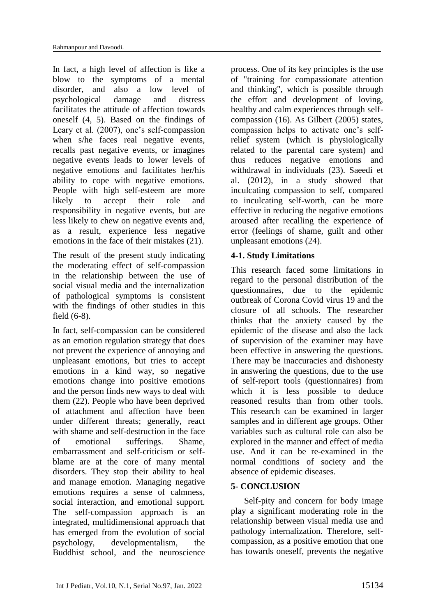In fact, a high level of affection is like a blow to the symptoms of a mental disorder, and also a low level of psychological damage and distress facilitates the attitude of affection towards oneself (4, 5). Based on the findings of Leary et al. (2007), one's self-compassion when s/he faces real negative events, recalls past negative events, or imagines negative events leads to lower levels of negative emotions and facilitates her/his ability to cope with negative emotions. People with high self-esteem are more likely to accept their role and responsibility in negative events, but are less likely to chew on negative events and, as a result, experience less negative emotions in the face of their mistakes (21).

The result of the present study indicating the moderating effect of self-compassion in the relationship between the use of social visual media and the internalization of pathological symptoms is consistent with the findings of other studies in this field (6-8).

In fact, self-compassion can be considered as an emotion regulation strategy that does not prevent the experience of annoying and unpleasant emotions, but tries to accept emotions in a kind way, so negative emotions change into positive emotions and the person finds new ways to deal with them (22). People who have been deprived of attachment and affection have been under different threats; generally, react with shame and self-destruction in the face of emotional sufferings. Shame, embarrassment and self-criticism or selfblame are at the core of many mental disorders. They stop their ability to heal and manage emotion. Managing negative emotions requires a sense of calmness, social interaction, and emotional support. The self-compassion approach is an integrated, multidimensional approach that has emerged from the evolution of social psychology, developmentalism, the Buddhist school, and the neuroscience

process. One of its key principles is the use of "training for compassionate attention and thinking", which is possible through the effort and development of loving, healthy and calm experiences through selfcompassion (16). As Gilbert (2005) states, compassion helps to activate one's selfrelief system (which is physiologically related to the parental care system) and thus reduces negative emotions and withdrawal in individuals (23). Saeedi et al. (2012), in a study showed that inculcating compassion to self, compared to inculcating self-worth, can be more effective in reducing the negative emotions aroused after recalling the experience of error (feelings of shame, guilt and other unpleasant emotions (24).

### **4-1. Study Limitations**

This research faced some limitations in regard to the personal distribution of the questionnaires, due to the epidemic outbreak of Corona Covid virus 19 and the closure of all schools. The researcher thinks that the anxiety caused by the epidemic of the disease and also the lack of supervision of the examiner may have been effective in answering the questions. There may be inaccuracies and dishonesty in answering the questions, due to the use of self-report tools (questionnaires) from which it is less possible to deduce reasoned results than from other tools. This research can be examined in larger samples and in different age groups. Other variables such as cultural role can also be explored in the manner and effect of media use. And it can be re-examined in the normal conditions of society and the absence of epidemic diseases.

### **5- CONCLUSION**

Self-pity and concern for body image play a significant moderating role in the relationship between visual media use and pathology internalization. Therefore, selfcompassion, as a positive emotion that one has towards oneself, prevents the negative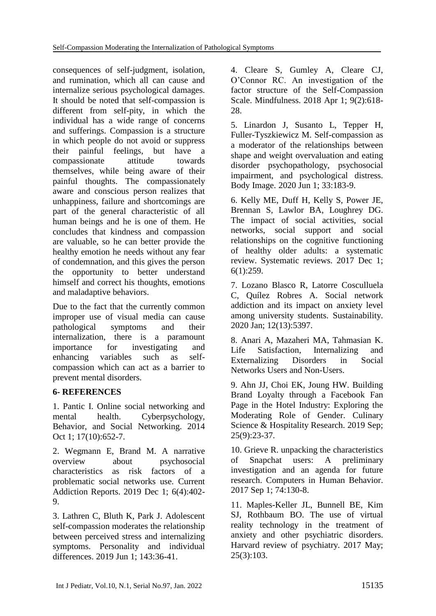consequences of self-judgment, isolation, and rumination, which all can cause and internalize serious psychological damages. It should be noted that self-compassion is different from self-pity, in which the individual has a wide range of concerns and sufferings. Compassion is a structure in which people do not avoid or suppress their painful feelings, but have a compassionate attitude towards themselves, while being aware of their painful thoughts. The compassionately aware and conscious person realizes that unhappiness, failure and shortcomings are part of the general characteristic of all human beings and he is one of them. He concludes that kindness and compassion are valuable, so he can better provide the healthy emotion he needs without any fear of condemnation, and this gives the person the opportunity to better understand himself and correct his thoughts, emotions and maladaptive behaviors.

Due to the fact that the currently common improper use of visual media can cause pathological symptoms and their internalization, there is a paramount importance for investigating and enhancing variables such as selfcompassion which can act as a barrier to prevent mental disorders.

# **6- REFERENCES**

1. Pantic I. Online social networking and mental health. Cyberpsychology, Behavior, and Social Networking. 2014 Oct 1; 17(10):652-7.

2. Wegmann E, Brand M. A narrative overview about psychosocial characteristics as risk factors of a problematic social networks use. Current Addiction Reports. 2019 Dec 1; 6(4):402- 9.

3. Lathren C, Bluth K, Park J. Adolescent self-compassion moderates the relationship between perceived stress and internalizing symptoms. Personality and individual differences. 2019 Jun 1; 143:36-41.

4. Cleare S, Gumley A, Cleare CJ, O'Connor RC. An investigation of the factor structure of the Self-Compassion Scale. Mindfulness. 2018 Apr 1; 9(2):618- 28.

5. Linardon J, Susanto L, Tepper H, Fuller-Tyszkiewicz M. Self-compassion as a moderator of the relationships between shape and weight overvaluation and eating disorder psychopathology, psychosocial impairment, and psychological distress. Body Image. 2020 Jun 1; 33:183-9.

6. Kelly ME, Duff H, Kelly S, Power JE, Brennan S, Lawlor BA, Loughrey DG. The impact of social activities, social networks, social support and social relationships on the cognitive functioning of healthy older adults: a systematic review. Systematic reviews. 2017 Dec 1; 6(1):259.

7. Lozano Blasco R, Latorre Cosculluela C, Quílez Robres A. Social network addiction and its impact on anxiety level among university students. Sustainability. 2020 Jan; 12(13):5397.

8. Anari A, Mazaheri MA, Tahmasian K. Life Satisfaction, Internalizing and Externalizing Disorders in Social Networks Users and Non-Users.

9. Ahn JJ, Choi EK, Joung HW. Building Brand Loyalty through a Facebook Fan Page in the Hotel Industry: Exploring the Moderating Role of Gender. Culinary Science & Hospitality Research. 2019 Sep; 25(9):23-37.

10. Grieve R. unpacking the characteristics of Snapchat users: A preliminary investigation and an agenda for future research. Computers in Human Behavior. 2017 Sep 1; 74:130-8.

11. Maples-Keller JL, Bunnell BE, Kim SJ, Rothbaum BO. The use of virtual reality technology in the treatment of anxiety and other psychiatric disorders. Harvard review of psychiatry. 2017 May; 25(3):103.